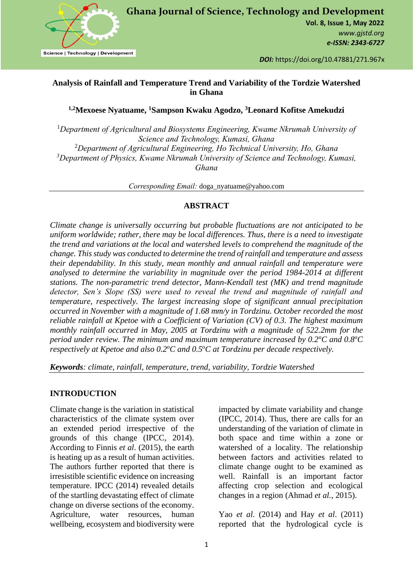

**Ghana Journal of Science, Technology and Development**

**Vol. 8, Issue 1, May 2022** *www.gjstd.org e-ISSN: 2343-6727*

*DOI:* https://doi.org/10.47881/271.967x

# **Analysis of Rainfall and Temperature Trend and Variability of the Tordzie Watershed in Ghana**

**1,2Mexoese Nyatuame, <sup>1</sup>Sampson Kwaku Agodzo, <sup>3</sup>Leonard Kofitse Amekudzi**

<sup>1</sup>*Department of Agricultural and Biosystems Engineering, Kwame Nkrumah University of Science and Technology, Kumasi, Ghana* <sup>2</sup>*Department of Agricultural Engineering, Ho Technical University, Ho, Ghana <sup>3</sup>Department of Physics, Kwame Nkrumah University of Science and Technology, Kumasi, Ghana*

*Corresponding Email:* doga\_nyatuame@yahoo.com

# **ABSTRACT**

*Climate change is universally occurring but probable fluctuations are not anticipated to be uniform worldwide; rather, there may be local differences. Thus, there is a need to investigate the trend and variations at the local and watershed levels to comprehend the magnitude of the change. This study was conducted to determine the trend of rainfall and temperature and assess their dependability. In this study, mean monthly and annual rainfall and temperature were analysed to determine the variability in magnitude over the period 1984-2014 at different stations. The non-parametric trend detector, Mann-Kendall test (MK) and trend magnitude detector, Sen's Slope (SS) were used to reveal the trend and magnitude of rainfall and temperature, respectively. The largest increasing slope of significant annual precipitation occurred in November with a magnitude of 1.68 mm/y in Tordzinu. October recorded the most reliable rainfall at Kpetoe with a Coefficient of Variation (CV) of 0.3. The highest maximum monthly rainfall occurred in May, 2005 at Tordzinu with a magnitude of 522.2mm for the period under review. The minimum and maximum temperature increased by 0.2<sup>o</sup>C and 0.8<sup>o</sup>C respectively at Kpetoe and also 0.2<sup>o</sup>C and 0.5<sup>o</sup>C at Tordzinu per decade respectively.* 

*Keywords: climate, rainfall, temperature, trend, variability, Tordzie Watershed*

# **INTRODUCTION**

Climate change is the variation in statistical characteristics of the climate system over an extended period irrespective of the grounds of this change (IPCC, 2014). According to Finnis *et al*. (2015), the earth is heating up as a result of human activities. The authors further reported that there is irresistible scientific evidence on increasing temperature. IPCC (2014) revealed details of the startling devastating effect of climate change on diverse sections of the economy. Agriculture, water resources, human wellbeing, ecosystem and biodiversity were

impacted by climate variability and change (IPCC, 2014). Thus, there are calls for an understanding of the variation of climate in both space and time within a zone or watershed of a locality. The relationship between factors and activities related to climate change ought to be examined as well. Rainfall is an important factor affecting crop selection and ecological changes in a region (Ahmad *et al.*, 2015).

Yao *et al.* (2014) and Hay *et al*. (2011) reported that the hydrological cycle is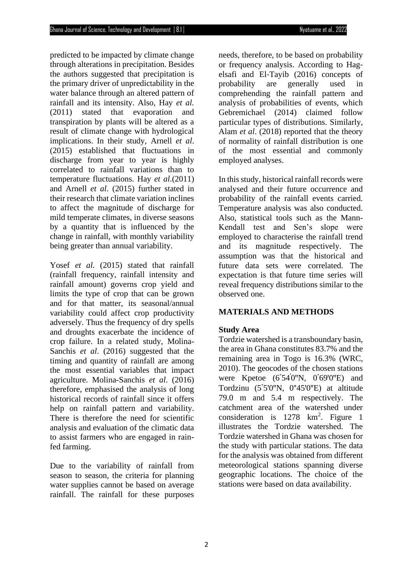predicted to be impacted by climate change through alterations in precipitation. Besides the authors suggested that precipitation is the primary driver of unpredictability in the water balance through an altered pattern of rainfall and its intensity. Also, Hay *et al.* (2011) stated that evaporation and transpiration by plants will be altered as a result of climate change with hydrological implications. In their study, Arnell *et al*. (2015) established that fluctuations in discharge from year to year is highly correlated to rainfall variations than to temperature fluctuations. Hay *et al*.(2011) and Arnell *et al*. (2015) further stated in their research that climate variation inclines to affect the magnitude of discharge for mild temperate climates, in diverse seasons by a quantity that is influenced by the change in rainfall, with monthly variability being greater than annual variability.

Yosef *et al.* (2015) stated that rainfall (rainfall frequency, rainfall intensity and rainfall amount) governs crop yield and limits the type of crop that can be grown and for that matter, its seasonal/annual variability could affect crop productivity adversely. Thus the frequency of dry spells and droughts exacerbate the incidence of crop failure. In a related study, Molina-Sanchis *et al*. (2016) suggested that the timing and quantity of rainfall are among the most essential variables that impact agriculture. Molina-Sanchis *et al*. (2016) therefore, emphasised the analysis of long historical records of rainfall since it offers help on rainfall pattern and variability. There is therefore the need for scientific analysis and evaluation of the climatic data to assist farmers who are engaged in rainfed farming.

Due to the variability of rainfall from season to season, the criteria for planning water supplies cannot be based on average rainfall. The rainfall for these purposes

needs, therefore, to be based on probability or frequency analysis. According to Hag‐ elsafi and El‐Tayib (2016) concepts of probability are generally used in comprehending the rainfall pattern and analysis of probabilities of events, which Gebremichael (2014) claimed follow particular types of distributions. Similarly, Alam *et al*. (2018) reported that the theory of normality of rainfall distribution is one of the most essential and commonly employed analyses.

In this study, historical rainfall records were analysed and their future occurrence and probability of the rainfall events carried. Temperature analysis was also conducted. Also, statistical tools such as the Mann-Kendall test and Sen's slope were employed to characterise the rainfall trend and its magnitude respectively. The assumption was that the historical and future data sets were correlated. The expectation is that future time series will reveal frequency distributions similar to the observed one.

# **MATERIALS AND METHODS**

# **Study Area**

Tordzie watershed is a transboundary basin, the area in Ghana constitutes 83.7% and the remaining area in Togo is 16.3% (WRC, 2010). The geocodes of the chosen stations were Kpetoe  $(6°54'0''N, 0°69'0''E)$  and Tordzinu  $(5^{\circ}5'0''N, 0^{\circ}45'0''E)$  at altitude 79.0 m and 5.4 m respectively. The catchment area of the watershed under consideration is 1278 km<sup>2</sup>. Figure 1 illustrates the Tordzie watershed. The Tordzie watershed in Ghana was chosen for the study with particular stations. The data for the analysis was obtained from different meteorological stations spanning diverse geographic locations. The choice of the stations were based on data availability.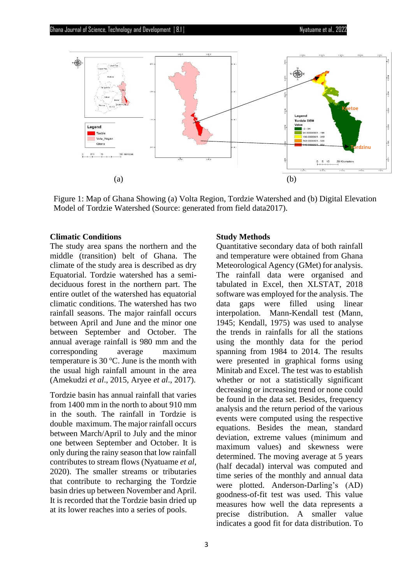

Figure 1: Map of Ghana Showing (a) Volta Region, Tordzie Watershed and (b) Digital Elevation Model of Tordzie Watershed (Source: generated from field data2017).

#### **Climatic Conditions**

The study area spans the northern and the middle (transition) belt of Ghana. The climate of the study area is described as dry Equatorial. Tordzie watershed has a semideciduous forest in the northern part. The entire outlet of the watershed has equatorial climatic conditions. The watershed has two rainfall seasons. The major rainfall occurs between April and June and the minor one between September and October. The annual average rainfall is 980 mm and the corresponding average maximum temperature is  $30^{\circ}$ C. June is the month with the usual high rainfall amount in the area (Amekudzi *et al*., 2015, Aryee *et al*., 2017).

Tordzie basin has annual rainfall that varies from 1400 mm in the north to about 910 mm in the south. The rainfall in Tordzie is double maximum. The major rainfall occurs between March/April to July and the minor one between September and October. It is only during the rainy season that low rainfall contributes to stream flows (Nyatuame *et al*, 2020). The smaller streams or tributaries that contribute to recharging the Tordzie basin dries up between November and April. It is recorded that the Tordzie basin dried up at its lower reaches into a series of pools.

#### **Study Methods**

Quantitative secondary data of both rainfall and temperature were obtained from Ghana Meteorological Agency (GMet) for analysis. The rainfall data were organised and tabulated in Excel, then XLSTAT, 2018 software was employed for the analysis. The data gaps were filled using linear interpolation. Mann-Kendall test (Mann, 1945; Kendall, 1975) was used to analyse the trends in rainfalls for all the stations using the monthly data for the period spanning from 1984 to 2014. The results were presented in graphical forms using Minitab and Excel. The test was to establish whether or not a statistically significant decreasing or increasing trend or none could be found in the data set. Besides, frequency analysis and the return period of the various events were computed using the respective equations. Besides the mean, standard deviation, extreme values (minimum and maximum values) and skewness were determined. The moving average at 5 years (half decadal) interval was computed and time series of the monthly and annual data were plotted. Anderson-Darling's (AD) goodness-of-fit test was used. This value measures how well the data represents a precise distribution. A smaller value indicates a good fit for data distribution. To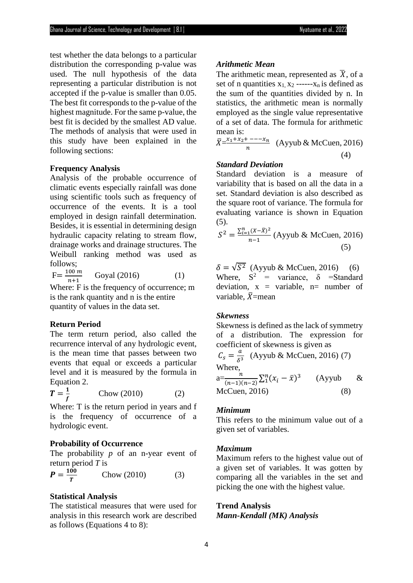test whether the data belongs to a particular distribution the corresponding p-value was used. The null hypothesis of the data representing a particular distribution is not accepted if the p-value is smaller than 0.05. The best fit corresponds to the p-value of the highest magnitude. For the same p-value, the best fit is decided by the smallest AD value. The methods of analysis that were used in this study have been explained in the following sections:

#### **Frequency Analysis**

Analysis of the probable occurrence of climatic events especially rainfall was done using scientific tools such as frequency of occurrence of the events. It is a tool employed in design rainfall determination. Besides, it is essential in determining design hydraulic capacity relating to stream flow, drainage works and drainage structures. The Weibull ranking method was used as follows;

 $F = \frac{100 \ m}{m + 1}$  $n+1$ Goyal (2016) (1) Where: F is the frequency of occurrence; m is the rank quantity and n is the entire

quantity of values in the data set.

## **Return Period**

The term return period, also called the recurrence interval of any hydrologic event, is the mean time that passes between two events that equal or exceeds a particular level and it is measured by the formula in Equation 2.

$$
T = \frac{1}{f}
$$
 Chow (2010) (2)

Where: T is the return period in years and f is the frequency of occurrence of a hydrologic event.

### **Probability of Occurrence**

The probability *p* of an n-year event of return period *T* is

$$
P = \frac{100}{T}
$$
 Chow (2010) (3)

## **Statistical Analysis**

The statistical measures that were used for analysis in this research work are described as follows (Equations 4 to 8):

### *Arithmetic Mean*

The arithmetic mean, represented as  $\bar{X}$ , of a set of n quantities  $x_1, x_2$  ------ $x_n$  is defined as the sum of the quantities divided by n. In statistics, the arithmetic mean is normally employed as the single value representative of a set of data. The formula for arithmetic mean is:

$$
\bar{X} = \frac{x_1 + x_2 + \dots + x_n}{n}
$$
 (Ayyub & McCuen, 2016) (4)

## *Standard Deviation*

Standard deviation is a measure of variability that is based on all the data in a set. Standard deviation is also described as the square root of variance. The formula for evaluating variance is shown in Equation (5).

$$
S^{2} = \frac{\sum_{i=1}^{n} (X - \bar{X})^{2}}{n-1}
$$
 (Ayyub & McCuen, 2016) (5)

 $\delta = \sqrt{S^2}$  (Ayyub & McCuen, 2016) (6) Where,  $S^2$  = variance,  $\delta$  = Standard deviation,  $x = \text{variable}, n = \text{number of}$ variable,  $\bar{X}$ =mean

#### *Skewness*

Skewness is defined as the lack of symmetry of a distribution. The expression for coefficient of skewness is given as

$$
C_s = \frac{a}{\delta^3}
$$
 (Ayyub & McCuen, 2016) (7)  
Where,  
<sub>n</sub>  $\sum n(c_1 - 5)^3$ 

 $a=\frac{n}{(n-1)!}$  $\frac{n}{(n-1)(n-2)}\sum_{i=1}^{n}(x_i-\bar{x})^3$ (Ayyub & McCuen, 2016) (8)

## *Minimum*

This refers to the minimum value out of a given set of variables.

#### *Maximum*

Maximum refers to the highest value out of a given set of variables. It was gotten by comparing all the variables in the set and picking the one with the highest value.

#### **Trend Analysis**

*Mann-Kendall (MK) Analysis*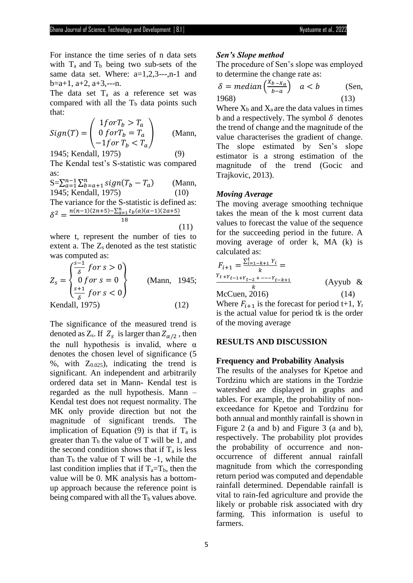For instance the time series of n data sets with  $T_a$  and  $T_b$  being two sub-sets of the same data set. Where: a=1,2,3---,n-1 and  $b=a+1$ ,  $a+2$ ,  $a+3$ , ---n.

The data set  $T_a$  as a reference set was compared with all the  $T<sub>b</sub>$  data points such that:

$$
Sign(T) = \begin{pmatrix} 1for T_b > T_a \\ 0 for T_b = T_a \\ -1 for T_b < T_a \end{pmatrix}
$$
 (Mann,

1945; Kendall, 1975) (9)

The Kendal test's S-statistic was compared as:

 $S=\sum_{a=1}^{n-1}\sum_{b=a+1}^{n}sign(T_b-T_a)$  (Mann, 1945; Kendall, 1975) (10) The variance for the S-statistic is defined as:  $\delta^2 = \frac{n(n-1)(2n+5) - \sum_{a=1}^n t_b(a)(a-1)(2a+5)}{42}$ 18

where t, represent the number of ties to extent a. The  $Z_s$  denoted as the test statistic was computed as:

$$
Z_s = \begin{cases} \frac{s-1}{\delta} & \text{for } s > 0\\ 0 & \text{for } s = 0\\ \frac{s+1}{\delta} & \text{for } s < 0 \end{cases} \tag{Mann, 1945}
$$
\nKendall, 1975) (12)

The significance of the measured trend is denoted as  $Z_s$ . If  $Z_s$  is larger than  $Z_{\alpha/2}$ , then the null hypothesis is invalid, where  $\alpha$ denotes the chosen level of significance (5 %, with  $Z_{0.025}$ , indicating the trend is significant. An independent and arbitrarily ordered data set in Mann- Kendal test is regarded as the null hypothesis. Mann – Kendal test does not request normality. The MK only provide direction but not the magnitude of significant trends. The implication of Equation (9) is that if  $T_a$  is greater than  $T_b$  the value of T will be 1, and the second condition shows that if  $T_a$  is less than  $T<sub>b</sub>$  the value of T will be -1, while the last condition implies that if  $T_a = T_b$ , then the value will be 0. MK analysis has a bottomup approach because the reference point is being compared with all the  $T_b$  values above.

#### *Sen's Slope method*

The procedure of Sen's slope was employed to determine the change rate as:

$$
\delta = \text{median}\left(\frac{X_{b-X_a}}{b-a}\right) \quad a < b \tag{Sen, 1968}
$$
\nWhere X<sub>b</sub> and X<sub>a</sub> are the data values in times

Where  $X_b$  and  $X_a$  are the data values in times b and a respectively. The symbol  $\delta$  denotes the trend of change and the magnitude of the value characterises the gradient of change. The slope estimated by Sen's slope estimator is a strong estimation of the magnitude of the trend (Gocic and Trajkovic, 2013).

## *Moving Average*

(11)

The moving average smoothing technique takes the mean of the k most current data values to forecast the value of the sequence for the succeeding period in the future. A moving average of order k, MA (k) is calculated as:

$$
F_{i+1} = \frac{\sum_{i=1-k+1}^{t} Y_i}{k} =
$$
  
\n
$$
\frac{Y_{t+Y_{t-1+Y_{t-2}} + \dots -Y_{t-k+1}}}{k}
$$
 (Ayyub & (14)  
\nMcCuen, 2016) (14)

Where  $F_{i+1}$  is the forecast for period t+1,  $Y_t$ is the actual value for period tk is the order of the moving average

#### **RESULTS AND DISCUSSION**

## **Frequency and Probability Analysis**

The results of the analyses for Kpetoe and Tordzinu which are stations in the Tordzie watershed are displayed in graphs and tables. For example, the probability of nonexceedance for Kpetoe and Tordzinu for both annual and monthly rainfall is shown in Figure 2 (a and b) and Figure 3 (a and b), respectively. The probability plot provides the probability of occurrence and nonoccurrence of different annual rainfall magnitude from which the corresponding return period was computed and dependable rainfall determined. Dependable rainfall is vital to rain-fed agriculture and provide the likely or probable risk associated with dry farming. This information is useful to farmers.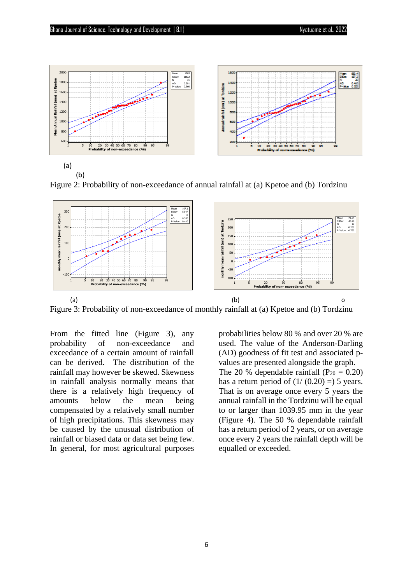



Figure 2: Probability of non-exceedance of annual rainfall at (a) Kpetoe and (b) Tordzinu



Figure 3: Probability of non-exceedance of monthly rainfall at (a) Kpetoe and (b) Tordzinu

From the fitted line (Figure 3), any probability of non-exceedance and exceedance of a certain amount of rainfall can be derived. The distribution of the rainfall may however be skewed. Skewness in rainfall analysis normally means that there is a relatively high frequency of amounts below the mean being compensated by a relatively small number of high precipitations. This skewness may be caused by the unusual distribution of rainfall or biased data or data set being few. In general, for most agricultural purposes probabilities below 80 % and over 20 % are used. The value of the Anderson-Darling (AD) goodness of fit test and associated pvalues are presented alongside the graph. The 20 % dependable rainfall  $(P_{20} = 0.20)$ has a return period of  $(1/(0.20)) = 5$  years. That is on average once every 5 years the annual rainfall in the Tordzinu will be equal to or larger than 1039.95 mm in the year (Figure 4). The 50 % dependable rainfall has a return period of 2 years, or on average once every 2 years the rainfall depth will be equalled or exceeded.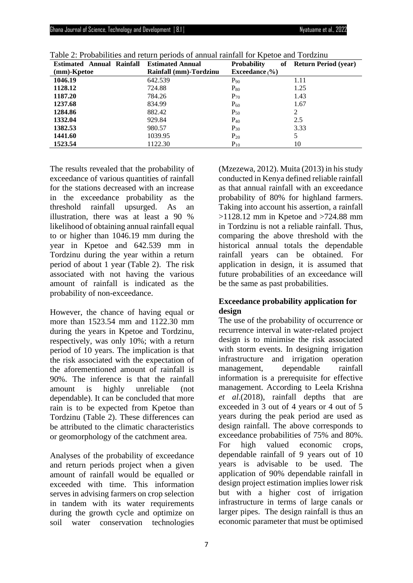| <b>Estimated Annual Rainfall</b> | <b>Estimated Annual</b> | <b>Probability</b><br>of | <b>Return Period (year)</b> |
|----------------------------------|-------------------------|--------------------------|-----------------------------|
| (mm)-Kpetoe                      | Rainfall (mm)-Tordzinu  | <b>Exceedance</b> $(%$   |                             |
| 1046.19                          | 642.539                 | $P_{90}$                 | 1.11                        |
| 1128.12                          | 724.88                  | $P_{80}$                 | 1.25                        |
| 1187.20                          | 784.26                  | $P_{70}$                 | 1.43                        |
| 1237.68                          | 834.99                  | $P_{60}$                 | 1.67                        |
| 1284.86                          | 882.42                  | $P_{50}$                 | 2                           |
| 1332.04                          | 929.84                  | $P_{40}$                 | 2.5                         |
| 1382.53                          | 980.57                  | $P_{30}$                 | 3.33                        |
| 1441.60                          | 1039.95                 | $P_{20}$                 | 5                           |
| 1523.54                          | 1122.30                 | $P_{10}$                 | 10                          |

Table 2: Probabilities and return periods of annual rainfall for Kpetoe and Tordzinu

The results revealed that the probability of exceedance of various quantities of rainfall for the stations decreased with an increase in the exceedance probability as the threshold rainfall upsurged. As an illustration, there was at least a 90 % likelihood of obtaining annual rainfall equal to or higher than 1046.19 mm during the year in Kpetoe and 642.539 mm in Tordzinu during the year within a return period of about 1 year (Table 2). The risk associated with not having the various amount of rainfall is indicated as the probability of non-exceedance.

However, the chance of having equal or more than 1523.54 mm and 1122.30 mm during the years in Kpetoe and Tordzinu, respectively, was only 10%; with a return period of 10 years. The implication is that the risk associated with the expectation of the aforementioned amount of rainfall is 90%. The inference is that the rainfall amount is highly unreliable (not dependable). It can be concluded that more rain is to be expected from Kpetoe than Tordzinu (Table 2). These differences can be attributed to the climatic characteristics or geomorphology of the catchment area.

Analyses of the probability of exceedance and return periods project when a given amount of rainfall would be equalled or exceeded with time. This information serves in advising farmers on crop selection in tandem with its water requirements during the growth cycle and optimize on soil water conservation technologies

(Mzezewa, 2012). Muita (2013) in his study conducted in Kenya defined reliable rainfall as that annual rainfall with an exceedance probability of 80% for highland farmers. Taking into account his assertion, a rainfall  $>1128.12$  mm in Kpetoe and  $>724.88$  mm in Tordzinu is not a reliable rainfall. Thus, comparing the above threshold with the historical annual totals the dependable rainfall years can be obtained. For application in design, it is assumed that future probabilities of an exceedance will be the same as past probabilities.

# **Exceedance probability application for design**

The use of the probability of occurrence or recurrence interval in water-related project design is to minimise the risk associated with storm events. In designing irrigation infrastructure and irrigation operation management, dependable rainfall information is a prerequisite for effective management. According to Leela Krishna *et al*.(2018), rainfall depths that are exceeded in 3 out of 4 years or 4 out of 5 years during the peak period are used as design rainfall. The above corresponds to exceedance probabilities of 75% and 80%. For high valued economic crops, dependable rainfall of 9 years out of 10 years is advisable to be used. The application of 90% dependable rainfall in design project estimation implies lower risk but with a higher cost of irrigation infrastructure in terms of large canals or larger pipes. The design rainfall is thus an economic parameter that must be optimised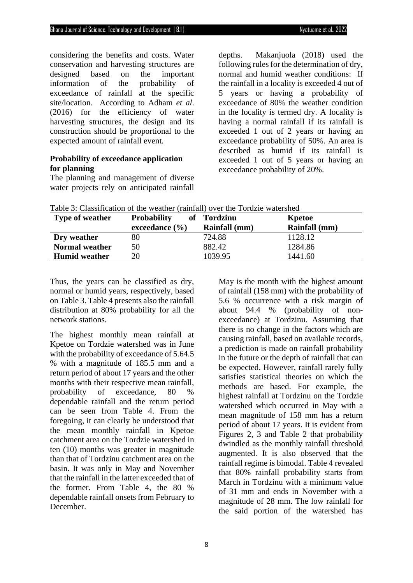considering the benefits and costs. Water conservation and harvesting structures are designed based on the important information of the probability of exceedance of rainfall at the specific site/location. According to Adham *et al*. (2016) for the efficiency of water harvesting structures, the design and its construction should be proportional to the expected amount of rainfall event.

# **Probability of exceedance application for planning**

The planning and management of diverse water projects rely on anticipated rainfall depths. Makanjuola (2018) used the following rules for the determination of dry, normal and humid weather conditions: If the rainfall in a locality is exceeded 4 out of 5 years or having a probability of exceedance of 80% the weather condition in the locality is termed dry. A locality is having a normal rainfall if its rainfall is exceeded 1 out of 2 years or having an exceedance probability of 50%. An area is described as humid if its rainfall is exceeded 1 out of 5 years or having an exceedance probability of 20%.

| <b>Type of weather</b> | <b>Probability</b> | of Tordzinu   | Kpetoe               |
|------------------------|--------------------|---------------|----------------------|
|                        | exceedance $(\% )$ | Rainfall (mm) | <b>Rainfall</b> (mm) |
| Dry weather            | 80                 | 724.88        | 1128.12              |
| <b>Normal weather</b>  | 50                 | 882.42        | 1284.86              |
| <b>Humid weather</b>   | 20                 | 1039.95       | 1441.60              |

Table 3: Classification of the weather (rainfall) over the Tordzie watershed

Thus, the years can be classified as dry, normal or humid years, respectively, based on Table 3. Table 4 presents also the rainfall distribution at 80% probability for all the network stations.

The highest monthly mean rainfall at Kpetoe on Tordzie watershed was in June with the probability of exceedance of 5.64.5 % with a magnitude of 185.5 mm and a return period of about 17 years and the other months with their respective mean rainfall, probability of exceedance, 80 % dependable rainfall and the return period can be seen from Table 4. From the foregoing, it can clearly be understood that the mean monthly rainfall in Kpetoe catchment area on the Tordzie watershed in ten (10) months was greater in magnitude than that of Tordzinu catchment area on the basin. It was only in May and November that the rainfall in the latter exceeded that of the former. From Table 4, the 80 % dependable rainfall onsets from February to December.

May is the month with the highest amount of rainfall (158 mm) with the probability of 5.6 % occurrence with a risk margin of about 94.4 % (probability of nonexceedance) at Tordzinu. Assuming that there is no change in the factors which are causing rainfall, based on available records, a prediction is made on rainfall probability in the future or the depth of rainfall that can be expected. However, rainfall rarely fully satisfies statistical theories on which the methods are based. For example, the highest rainfall at Tordzinu on the Tordzie watershed which occurred in May with a mean magnitude of 158 mm has a return period of about 17 years. It is evident from Figures 2, 3 and Table 2 that probability dwindled as the monthly rainfall threshold augmented. It is also observed that the rainfall regime is bimodal. Table 4 revealed that 80% rainfall probability starts from March in Tordzinu with a minimum value of 31 mm and ends in November with a magnitude of 28 mm. The low rainfall for the said portion of the watershed has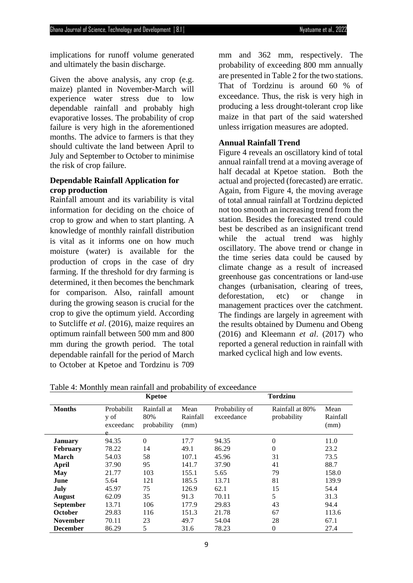implications for runoff volume generated and ultimately the basin discharge.

Given the above analysis, any crop (e.g. maize) planted in November-March will experience water stress due to low dependable rainfall and probably high evaporative losses. The probability of crop failure is very high in the aforementioned months. The advice to farmers is that they should cultivate the land between April to July and September to October to minimise the risk of crop failure.

# **Dependable Rainfall Application for crop production**

Rainfall amount and its variability is vital information for deciding on the choice of crop to grow and when to start planting. A knowledge of monthly rainfall distribution is vital as it informs one on how much moisture (water) is available for the production of crops in the case of dry farming. If the threshold for dry farming is determined, it then becomes the benchmark for comparison. Also, rainfall amount during the growing season is crucial for the crop to give the optimum yield. According to Sutcliffe *et al*. (2016), maize requires an optimum rainfall between 500 mm and 800 mm during the growth period. The total dependable rainfall for the period of March to October at Kpetoe and Tordzinu is 709

mm and 362 mm, respectively. The probability of exceeding 800 mm annually are presented in Table 2 for the two stations. That of Tordzinu is around 60 % of exceedance. Thus, the risk is very high in producing a less drought-tolerant crop like maize in that part of the said watershed unless irrigation measures are adopted.

# **Annual Rainfall Trend**

Figure 4 reveals an oscillatory kind of total annual rainfall trend at a moving average of half decadal at Kpetoe station. Both the actual and projected (forecasted) are erratic. Again, from Figure 4, the moving average of total annual rainfall at Tordzinu depicted not too smooth an increasing trend from the station. Besides the forecasted trend could best be described as an insignificant trend while the actual trend was highly oscillatory. The above trend or change in the time series data could be caused by climate change as a result of increased greenhouse gas concentrations or land-use changes (urbanisation, clearing of trees, deforestation, etc) or change in management practices over the catchment. The findings are largely in agreement with the results obtained by Dumenu and Obeng (2016) and Kleemann *et al*. (2017) who reported a general reduction in rainfall with marked cyclical high and low events.

| Table 4: Monthly mean rainfall and probability of exceedance |  |  |  |  |  |  |  |  |  |
|--------------------------------------------------------------|--|--|--|--|--|--|--|--|--|
| $\mathbf{r}$                                                 |  |  |  |  |  |  |  |  |  |

|                  |                                      | Kpetoe                            |                          | <b>Tordzinu</b>              |                                |                          |  |  |  |
|------------------|--------------------------------------|-----------------------------------|--------------------------|------------------------------|--------------------------------|--------------------------|--|--|--|
| <b>Months</b>    | Probabilit<br>y of<br>exceedanc<br>Α | Rainfall at<br>80%<br>probability | Mean<br>Rainfall<br>(mm) | Probability of<br>exceedance | Rainfall at 80%<br>probability | Mean<br>Rainfall<br>(mm) |  |  |  |
| <b>January</b>   | 94.35                                | $\mathbf{0}$                      | 17.7                     | 94.35                        | $\theta$                       | 11.0                     |  |  |  |
| <b>February</b>  | 78.22                                | 14                                | 49.1                     | 86.29                        | $\Omega$                       | 23.2                     |  |  |  |
| <b>March</b>     | 54.03                                | 58                                | 107.1                    | 45.96                        | 31                             | 73.5                     |  |  |  |
| April            | 37.90                                | 95                                | 141.7                    | 37.90                        | 41                             | 88.7                     |  |  |  |
| May              | 21.77                                | 103                               | 155.1                    | 5.65                         | 79                             | 158.0                    |  |  |  |
| June             | 5.64                                 | 121                               | 185.5                    | 13.71                        | 81                             | 139.9                    |  |  |  |
| July             | 45.97                                | 75                                | 126.9                    | 62.1                         | 15                             | 54.4                     |  |  |  |
| <b>August</b>    | 62.09                                | 35                                | 91.3                     | 70.11                        | 5                              | 31.3                     |  |  |  |
| <b>September</b> | 13.71                                | 106                               | 177.9                    | 29.83                        | 43                             | 94.4                     |  |  |  |
| October          | 29.83                                | 116                               | 151.3                    | 21.78                        | 67                             | 113.6                    |  |  |  |
| <b>November</b>  | 70.11                                | 23                                | 49.7                     | 54.04                        | 28                             | 67.1                     |  |  |  |
| <b>December</b>  | 86.29                                | 5                                 | 31.6                     | 78.23                        | $\theta$                       | 27.4                     |  |  |  |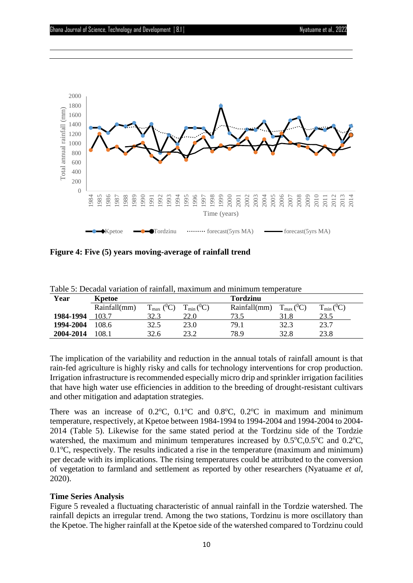

**Figure 4: Five (5) years moving-average of rainfall trend**

| Year      | Kpetoe       |                             |                 | <b>Tordzinu</b> |                       |                   |  |  |
|-----------|--------------|-----------------------------|-----------------|-----------------|-----------------------|-------------------|--|--|
|           | Rainfall(mm) | $(^0C)$<br>$T_{\text{max}}$ | $T_{min} (^0C)$ | Rainfall(mm)    | $T_{\rm max} ({}^0C)$ | $T_{min} ({}^0C)$ |  |  |
| 1984-1994 | 103.7        | 32.3                        | 22.0            | 73.5            | 31.8                  | 23.5              |  |  |
| 1994-2004 | 108.6        | 32.5                        | 23.0            | 79.1            | 32.3                  | 23.7              |  |  |
| 2004-2014 | 108.1        | 32.6                        | 23.2            | 78.9            | 32.8                  | 23.8              |  |  |

Table 5: Decadal variation of rainfall, maximum and minimum temperature

The implication of the variability and reduction in the annual totals of rainfall amount is that rain-fed agriculture is highly risky and calls for technology interventions for crop production. Irrigation infrastructure is recommended especially micro drip and sprinkler irrigation facilities that have high water use efficiencies in addition to the breeding of drought-resistant cultivars and other mitigation and adaptation strategies.

There was an increase of  $0.2^{\circ}$ C,  $0.1^{\circ}$ C and  $0.8^{\circ}$ C,  $0.2^{\circ}$ C in maximum and minimum temperature, respectively, at Kpetoe between 1984-1994 to 1994-2004 and 1994-2004 to 2004- 2014 (Table 5). Likewise for the same stated period at the Tordzinu side of the Tordzie watershed, the maximum and minimum temperatures increased by  $0.5^{\circ}C, 0.5^{\circ}C$  and  $0.2^{\circ}C$ ,  $0.1\degree$ C, respectively. The results indicated a rise in the temperature (maximum and minimum) per decade with its implications. The rising temperatures could be attributed to the conversion of vegetation to farmland and settlement as reported by other researchers (Nyatuame *et al*, 2020).

# **Time Series Analysis**

Figure 5 revealed a fluctuating characteristic of annual rainfall in the Tordzie watershed. The rainfall depicts an irregular trend. Among the two stations, Tordzinu is more oscillatory than the Kpetoe. The higher rainfall at the Kpetoe side of the watershed compared to Tordzinu could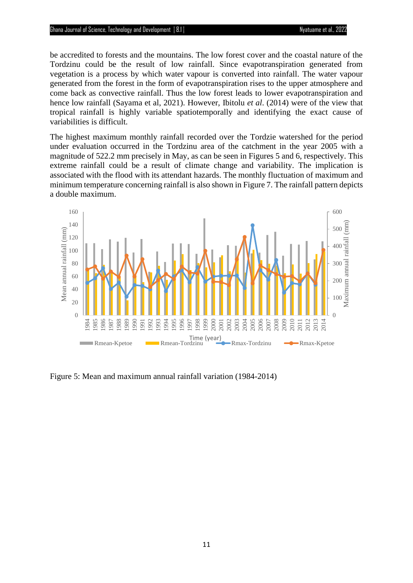### Ghana Journal of Science, Technology and Development |8.1| Nyatuame et al., 2022

be accredited to forests and the mountains. The low forest cover and the coastal nature of the Tordzinu could be the result of low rainfall. Since evapotranspiration generated from vegetation is a process by which water vapour is converted into rainfall. The water vapour generated from the forest in the form of evapotranspiration rises to the upper atmosphere and come back as convective rainfall. Thus the low forest leads to lower evapotranspiration and hence low rainfall (Sayama et al, 2021). However, Ibitolu *et al*. (2014) were of the view that tropical rainfall is highly variable spatiotemporally and identifying the exact cause of variabilities is difficult.

The highest maximum monthly rainfall recorded over the Tordzie watershed for the period under evaluation occurred in the Tordzinu area of the catchment in the year 2005 with a magnitude of 522.2 mm precisely in May, as can be seen in Figures 5 and 6, respectively. This extreme rainfall could be a result of climate change and variability. The implication is associated with the flood with its attendant hazards. The monthly fluctuation of maximum and minimum temperature concerning rainfall is also shown in Figure 7. The rainfall pattern depicts a double maximum.



Figure 5: Mean and maximum annual rainfall variation (1984-2014)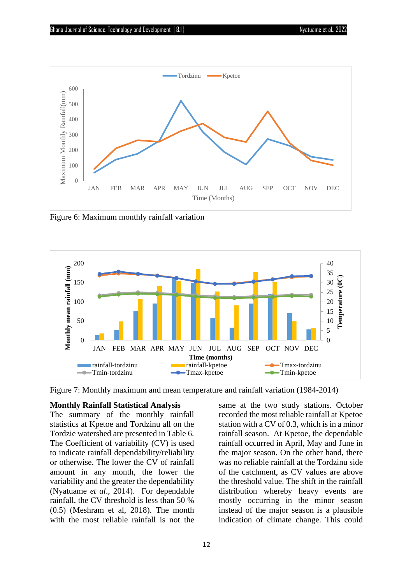

Figure 6: Maximum monthly rainfall variation



Figure 7: Monthly maximum and mean temperature and rainfall variation (1984-2014)

## **Monthly Rainfall Statistical Analysis**

The summary of the monthly rainfall statistics at Kpetoe and Tordzinu all on the Tordzie watershed are presented in Table 6. The Coefficient of variability (CV) is used to indicate rainfall dependability/reliability or otherwise. The lower the CV of rainfall amount in any month, the lower the variability and the greater the dependability (Nyatuame *et al*., 2014). For dependable rainfall, the CV threshold is less than 50 % (0.5) (Meshram et al, 2018). The month with the most reliable rainfall is not the

same at the two study stations. October recorded the most reliable rainfall at Kpetoe station with a CV of 0.3, which is in a minor rainfall season. At Kpetoe, the dependable rainfall occurred in April, May and June in the major season. On the other hand, there was no reliable rainfall at the Tordzinu side of the catchment, as CV values are above the threshold value. The shift in the rainfall distribution whereby heavy events are mostly occurring in the minor season instead of the major season is a plausible indication of climate change. This could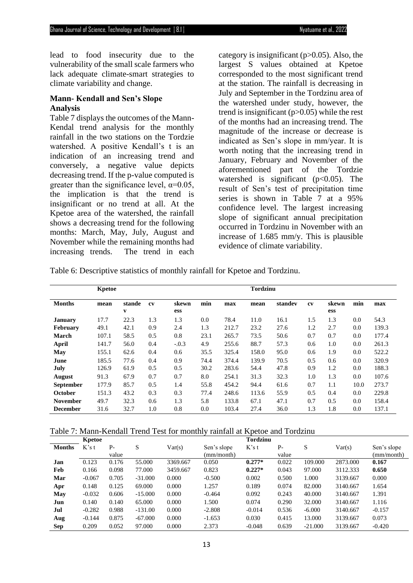lead to food insecurity due to the vulnerability of the small scale farmers who lack adequate climate-smart strategies to climate variability and change.

## **Mann- Kendall and Sen's Slope Analysis**

Table 7 displays the outcomes of the Mann-Kendal trend analysis for the monthly rainfall in the two stations on the Tordzie watershed. A positive Kendall's t is an indication of an increasing trend and conversely, a negative value depicts decreasing trend. If the p-value computed is greater than the significance level,  $\alpha$ =0.05, the implication is that the trend is insignificant or no trend at all. At the Kpetoe area of the watershed, the rainfall shows a decreasing trend for the following months: March, May, July, August and November while the remaining months had increasing trends. The trend in each category is insignificant ( $p > 0.05$ ). Also, the largest S values obtained at Kpetoe corresponded to the most significant trend at the station. The rainfall is decreasing in July and September in the Tordzinu area of the watershed under study, however, the trend is insignificant  $(p>0.05)$  while the rest of the months had an increasing trend. The magnitude of the increase or decrease is indicated as Sen's slope in mm/year. It is worth noting that the increasing trend in January, February and November of the aforementioned part of the Tordzie watershed is significant  $(p<0.05)$ . The result of Sen's test of precipitation time series is shown in Table 7 at a 95% confidence level. The largest increasing slope of significant annual precipitation occurred in Tordzinu in November with an increase of 1.685 mm/y. This is plausible evidence of climate variability.

Table 6: Descriptive statistics of monthly rainfall for Kpetoe and Tordzinu.

|                  | Kpetoe |             |     |              |      | <b>Tordzinu</b> |       |         |     |              |      |       |
|------------------|--------|-------------|-----|--------------|------|-----------------|-------|---------|-----|--------------|------|-------|
| <b>Months</b>    | mean   | stande<br>v | cv  | skewn<br>ess | min  | max             | mean  | standev | cv  | skewn<br>ess | min  | max   |
| January          | 17.7   | 22.3        | 1.3 | 1.3          | 0.0  | 78.4            | 11.0  | 16.1    | 1.5 | 1.3          | 0.0  | 54.3  |
| <b>February</b>  | 49.1   | 42.1        | 0.9 | 2.4          | 1.3  | 212.7           | 23.2  | 27.6    | 1.2 | 2.7          | 0.0  | 139.3 |
| March            | 107.1  | 58.5        | 0.5 | 0.8          | 23.1 | 265.7           | 73.5  | 50.6    | 0.7 | 0.7          | 0.0  | 177.4 |
| April            | 141.7  | 56.0        | 0.4 | $-.0.3$      | 4.9  | 255.6           | 88.7  | 57.3    | 0.6 | 1.0          | 0.0  | 261.3 |
| May              | 155.1  | 62.6        | 0.4 | 0.6          | 35.5 | 325.4           | 158.0 | 95.0    | 0.6 | 1.9          | 0.0  | 522.2 |
| June             | 185.5  | 77.6        | 0.4 | 0.9          | 74.4 | 374.4           | 139.9 | 70.5    | 0.5 | 0.6          | 0.0  | 320.9 |
| July             | 126.9  | 61.9        | 0.5 | 0.5          | 30.2 | 283.6           | 54.4  | 47.8    | 0.9 | 1.2          | 0.0  | 188.3 |
| <b>August</b>    | 91.3   | 67.9        | 0.7 | 0.7          | 8.0  | 254.1           | 31.3  | 32.3    | 1.0 | 1.3          | 0.0  | 107.6 |
| <b>September</b> | 177.9  | 85.7        | 0.5 | 1.4          | 55.8 | 454.2           | 94.4  | 61.6    | 0.7 | 1.1          | 10.0 | 273.7 |
| <b>October</b>   | 151.3  | 43.2        | 0.3 | 0.3          | 77.4 | 248.6           | 113.6 | 55.9    | 0.5 | 0.4          | 0.0  | 229.8 |
| <b>November</b>  | 49.7   | 32.3        | 0.6 | 1.3          | 5.8  | 133.8           | 67.1  | 47.1    | 0.7 | 0.5          | 0.0  | 158.4 |
| <b>December</b>  | 31.6   | 32.7        | 1.0 | 0.8          | 0.0  | 103.4           | 27.4  | 36.0    | 1.3 | 1.8          | 0.0  | 137.1 |

|               | Kpetoe   |       |           |          |             | <b>Tordzinu</b> |       |           |          |             |
|---------------|----------|-------|-----------|----------|-------------|-----------------|-------|-----------|----------|-------------|
| <b>Months</b> | K's t    | $P-$  | S         | Var(s)   | Sen's slope | $K$ 's t        | $P-$  | S         | Var(s)   | Sen's slope |
|               |          | value |           |          | (mm/month)  |                 | value |           |          | (mm/month)  |
| Jan           | 0.123    | 0.176 | 55.000    | 3369.667 | 0.050       | $0.277*$        | 0.022 | 109.000   | 2873.000 | 0.167       |
| Feb           | 0.166    | 0.098 | 77.000    | 3459.667 | 0.823       | $0.227*$        | 0.043 | 97.000    | 3112.333 | 0.650       |
| Mar           | $-0.067$ | 0.705 | $-31.000$ | 0.000    | $-0.500$    | 0.002           | 0.500 | 1.000     | 3139.667 | 0.000       |
| Apr           | 0.148    | 0.125 | 69.000    | 0.000    | 1.257       | 0.189           | 0.074 | 82.000    | 3140.667 | 1.654       |
| May           | $-0.032$ | 0.606 | $-15.000$ | 0.000    | $-0.464$    | 0.092           | 0.243 | 40.000    | 3140.667 | 1.391       |
| Jun           | 0.140    | 0.140 | 65.000    | 0.000    | 1.500       | 0.074           | 0.290 | 32.000    | 3140.667 | 1.116       |
| Jul           | $-0.282$ | 0.988 | $-131.00$ | 0.000    | $-2.808$    | $-0.014$        | 0.536 | $-6.000$  | 3140.667 | $-0.157$    |
| Aug           | $-0.144$ | 0.875 | $-67.000$ | 0.000    | $-1.653$    | 0.030           | 0.415 | 13.000    | 3139.667 | 0.073       |
| Sep           | 0.209    | 0.052 | 97.000    | 0.000    | 2.373       | $-0.048$        | 0.639 | $-21.000$ | 3139.667 | $-0.420$    |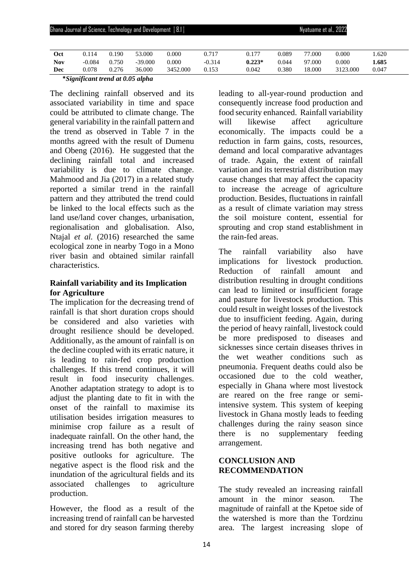| <b>Chana Journal of Science, Technology and Development</b>   8.1 |          |       |           |          |          |          | Nyatuame et al., 2022 |        |          |       |  |  |  |
|-------------------------------------------------------------------|----------|-------|-----------|----------|----------|----------|-----------------------|--------|----------|-------|--|--|--|
|                                                                   |          |       |           |          |          |          |                       |        |          |       |  |  |  |
| Oct                                                               | 0.114    | 0.190 | 53.000    | 0.000    | 0.717    | 0.177    | 0.089                 | 77.000 | 0.000    | .620  |  |  |  |
| Nov                                                               | $-0.084$ | 0.750 | $-39.000$ | 0.000    | $-0.314$ | $0.223*$ | 0.044                 | 97.000 | 0.000    | 1.685 |  |  |  |
| Dec                                                               | 0.078    | 0.276 | 36.000    | 3452.000 | 0.153    | 0.042    | 0.380                 | 18.000 | 3123.000 | 0.047 |  |  |  |

**\****Significant trend at 0.05 alpha*

The declining rainfall observed and its associated variability in time and space could be attributed to climate change. The general variability in the rainfall pattern and the trend as observed in Table 7 in the months agreed with the result of Dumenu and Obeng (2016). He suggested that the declining rainfall total and increased variability is due to climate change. Mahmood and Jia (2017) in a related study reported a similar trend in the rainfall pattern and they attributed the trend could be linked to the local effects such as the land use/land cover changes, urbanisation, regionalisation and globalisation. Also, Ntajal *et al.* (2016) researched the same ecological zone in nearby Togo in a Mono river basin and obtained similar rainfall characteristics.

# **Rainfall variability and its Implication for Agriculture**

The implication for the decreasing trend of rainfall is that short duration crops should be considered and also varieties with drought resilience should be developed. Additionally, as the amount of rainfall is on the decline coupled with its erratic nature, it is leading to rain-fed crop production challenges. If this trend continues, it will result in food insecurity challenges. Another adaptation strategy to adopt is to adjust the planting date to fit in with the onset of the rainfall to maximise its utilisation besides irrigation measures to minimise crop failure as a result of inadequate rainfall. On the other hand, the increasing trend has both negative and positive outlooks for agriculture. The negative aspect is the flood risk and the inundation of the agricultural fields and its associated challenges to agriculture production.

However, the flood as a result of the increasing trend of rainfall can be harvested and stored for dry season farming thereby leading to all-year-round production and consequently increase food production and food security enhanced. Rainfall variability will likewise affect agriculture economically. The impacts could be a reduction in farm gains, costs, resources, demand and local comparative advantages of trade. Again, the extent of rainfall variation and its terrestrial distribution may cause changes that may affect the capacity to increase the acreage of agriculture production. Besides, fluctuations in rainfall as a result of climate variation may stress the soil moisture content, essential for sprouting and crop stand establishment in the rain-fed areas.

The rainfall variability also have implications for livestock production. Reduction of rainfall amount and distribution resulting in drought conditions can lead to limited or insufficient forage and pasture for livestock production. This could result in weight losses of the livestock due to insufficient feeding. Again, during the period of heavy rainfall, livestock could be more predisposed to diseases and sicknesses since certain diseases thrives in the wet weather conditions such as pneumonia. Frequent deaths could also be occasioned due to the cold weather, especially in Ghana where most livestock are reared on the free range or semiintensive system. This system of keeping livestock in Ghana mostly leads to feeding challenges during the rainy season since there is no supplementary feeding arrangement.

# **CONCLUSION AND RECOMMENDATION**

The study revealed an increasing rainfall amount in the minor season. The magnitude of rainfall at the Kpetoe side of the watershed is more than the Tordzinu area. The largest increasing slope of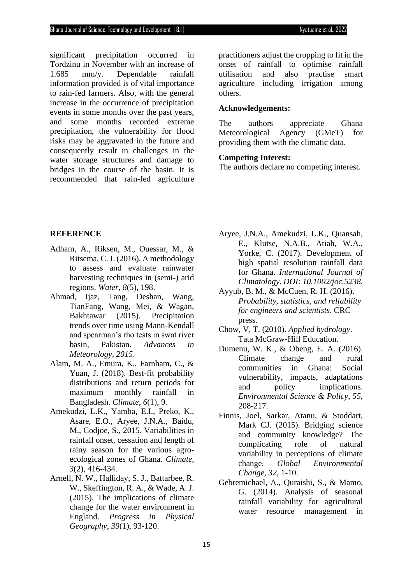significant precipitation occurred in Tordzinu in November with an increase of 1.685 mm/y. Dependable rainfall information provided is of vital importance to rain-fed farmers. Also, with the general increase in the occurrence of precipitation events in some months over the past years, and some months recorded extreme precipitation, the vulnerability for flood risks may be aggravated in the future and consequently result in challenges in the water storage structures and damage to bridges in the course of the basin. It is recommended that rain-fed agriculture practitioners adjust the cropping to fit in the onset of rainfall to optimise rainfall utilisation and also practise smart agriculture including irrigation among others.

## **Acknowledgements:**

The authors appreciate Ghana Meteorological Agency (GMeT) for providing them with the climatic data.

## **Competing Interest:**

The authors declare no competing interest.

# **REFERENCE**

- Adham, A., Riksen, M., Ouessar, M., & Ritsema, C. J. (2016). A methodology to assess and evaluate rainwater harvesting techniques in (semi-) arid regions. *Water*, *8*(5), 198.
- Ahmad, Ijaz, Tang, Deshan, Wang, TianFang, Wang, Mei, & Wagan, Bakhtawar (2015). Precipitation trends over time using Mann-Kendall and spearman's rho tests in swat river basin, Pakistan. *Advances in Meteorology, 2015*.
- Alam, M. A., Emura, K., Farnham, C., & Yuan, J. (2018). Best-fit probability distributions and return periods for maximum monthly rainfall in Bangladesh. *Climate*, *6*(1), 9.
- Amekudzi, L.K., Yamba, E.I., Preko, K., Asare, E.O., Aryee, J.N.A., Baidu, M., Codjoe, S., 2015. Variabilities in rainfall onset, cessation and length of rainy season for the various agroecological zones of Ghana. *Climate, 3*(2), 416-434.
- Arnell, N. W., Halliday, S. J., Battarbee, R. W., Skeffington, R. A., & Wade, A. J. (2015). The implications of climate change for the water environment in England. *Progress in Physical Geography*, *39*(1), 93-120.
- Aryee, J.N.A., Amekudzi, L.K., Quansah, E., Klutse, N.A.B., Atiah, W.A., Yorke, C. (2017). Development of high spatial resolution rainfall data for Ghana. *International Journal of Climatology. DOI: 10.1002/joc.5238.*
- Ayyub, B. M., & McCuen, R. H. (2016). *Probability, statistics, and reliability for engineers and scientists*. CRC press.
- Chow, V, T. (2010). *Applied hydrology*. Tata McGraw-Hill Education.
- Dumenu, W. K., & Obeng, E. A. (2016). Climate change and rural communities in Ghana: Social vulnerability, impacts, adaptations and policy implications. *Environmental Science & Policy*, *55*, 208-217.
- Finnis, Joel, Sarkar, Atanu, & Stoddart, Mark CJ. (2015). Bridging science and community knowledge? The complicating role of natural variability in perceptions of climate change. *Global Environmental Change, 32*, 1-10.
- Gebremichael, A., Quraishi, S., & Mamo, G. (2014). Analysis of seasonal rainfall variability for agricultural water resource management in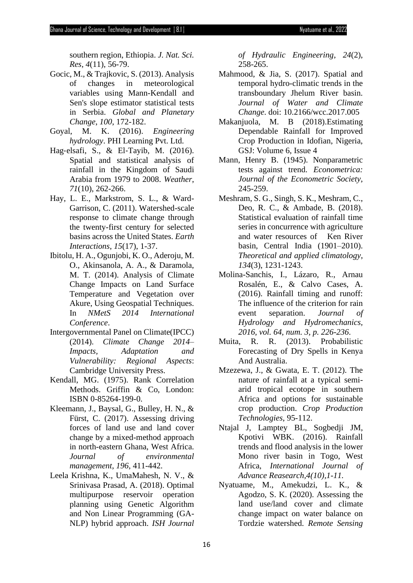southern region, Ethiopia. *J. Nat. Sci. Res*, *4*(11), 56-79.

- Gocic, M., & Trajkovic, S. (2013). Analysis of changes in meteorological variables using Mann-Kendall and Sen's slope estimator statistical tests in Serbia. *Global and Planetary Change*, *100*, 172-182.
- Goyal, M. K. (2016). *Engineering hydrology*. PHI Learning Pvt. Ltd.
- Hag‐elsafi, S., & El‐Tayib, M. (2016). Spatial and statistical analysis of rainfall in the Kingdom of Saudi Arabia from 1979 to 2008. *Weather*, *71*(10), 262-266.
- Hay, L. E., Markstrom, S. L., & Ward-Garrison, C. (2011). Watershed-scale response to climate change through the twenty-first century for selected basins across the United States. *Earth Interactions*, *15*(17), 1-37.
- Ibitolu, H. A., Ogunjobi, K. O., Aderoju, M. O., Akinsanola, A. A., & Daramola, M. T. (2014). Analysis of Climate Change Impacts on Land Surface Temperature and Vegetation over Akure, Using Geospatial Techniques. In *NMetS 2014 International Conference*.
- Intergovernmental Panel on Climate(IPCC) (2014). *Climate Change 2014– Impacts, Adaptation and Vulnerability: Regional Aspects*: Cambridge University Press.
- Kendall, MG. (1975). Rank Correlation Methods. Griffin & Co, London: ISBN 0-85264-199-0.
- Kleemann, J., Baysal, G., Bulley, H. N., & Fürst, C. (2017). Assessing driving forces of land use and land cover change by a mixed-method approach in north-eastern Ghana, West Africa. *Journal of environmental management*, *196*, 411-442.
- Leela Krishna, K., UmaMahesh, N. V., & Srinivasa Prasad, A. (2018). Optimal multipurpose reservoir operation planning using Genetic Algorithm and Non Linear Programming (GA-NLP) hybrid approach. *ISH Journal*

*of Hydraulic Engineering*, *24*(2), 258-265.

- Mahmood, & Jia, S. (2017). Spatial and temporal hydro-climatic trends in the transboundary Jhelum River basin. *Journal of Water and Climate Change*. doi: 10.2166/wcc.2017.005
- Makanjuola, M. B (2018).Estimating Dependable Rainfall for Improved Crop Production in Idofian, Nigeria, GSJ: Volume 6, Issue 4
- Mann, Henry B. (1945). Nonparametric tests against trend. *Econometrica: Journal of the Econometric Society*, 245-259.
- Meshram, S. G., Singh, S. K., Meshram, C., Deo, R. C., & Ambade, B. (2018). Statistical evaluation of rainfall time series in concurrence with agriculture and water resources of Ken River basin, Central India (1901–2010). *Theoretical and applied climatology*, *134*(3), 1231-1243.
- Molina-Sanchis, I., Lázaro, R., Arnau Rosalén, E., & Calvo Cases, A. (2016). Rainfall timing and runoff: The influence of the criterion for rain event separation. *Journal of Hydrology and Hydromechanics, 2016, vol. 64, num. 3, p. 226-236*.
- Muita, R. R. (2013). Probabilistic Forecasting of Dry Spells in Kenya And Australia.
- Mzezewa, J., & Gwata, E. T. (2012). The nature of rainfall at a typical semiarid tropical ecotope in southern Africa and options for sustainable crop production. *Crop Production Technologies*, 95-112.
- Ntajal J, Lamptey BL, Sogbedji JM, Kpotivi WBK. (2016). Rainfall trends and flood analysis in the lower Mono river basin in Togo, West Africa, *International Journal of Advance Reasearch,4(10),1-11.*
- Nyatuame, M., Amekudzi, L. K., & Agodzo, S. K. (2020). Assessing the land use/land cover and climate change impact on water balance on Tordzie watershed. *Remote Sensing*